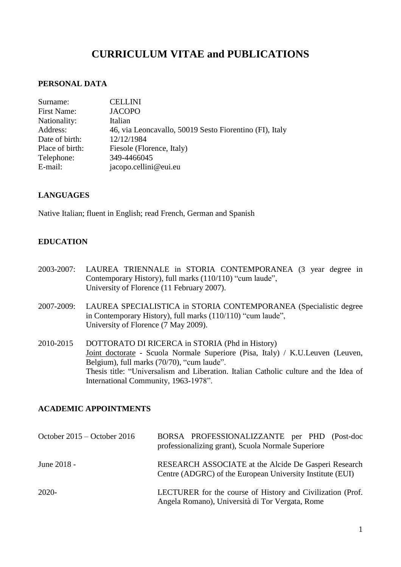# **CURRICULUM VITAE and PUBLICATIONS**

## **PERSONAL DATA**

| Surname:           | <b>CELLINI</b>                                          |
|--------------------|---------------------------------------------------------|
| <b>First Name:</b> | <b>JACOPO</b>                                           |
| Nationality:       | Italian                                                 |
| Address:           | 46, via Leoncavallo, 50019 Sesto Fiorentino (FI), Italy |
| Date of birth:     | 12/12/1984                                              |
| Place of birth:    | Fiesole (Florence, Italy)                               |
| Telephone:         | 349-4466045                                             |
| E-mail:            | jacopo.cellini@eui.eu                                   |

## **LANGUAGES**

Native Italian; fluent in English; read French, German and Spanish

## **EDUCATION**

- 2003-2007: LAUREA TRIENNALE in STORIA CONTEMPORANEA (3 year degree in Contemporary History), full marks (110/110) "cum laude", University of Florence (11 February 2007).
- 2007-2009: LAUREA SPECIALISTICA in STORIA CONTEMPORANEA (Specialistic degree in Contemporary History), full marks (110/110) "cum laude", University of Florence (7 May 2009).
- 2010-2015 DOTTORATO DI RICERCA in STORIA (Phd in History) Joint doctorate - Scuola Normale Superiore (Pisa, Italy) / K.U.Leuven (Leuven, Belgium), full marks (70/70), "cum laude". Thesis title: "Universalism and Liberation. Italian Catholic culture and the Idea of International Community, 1963-1978".

# **ACADEMIC APPOINTMENTS**

| October $2015 -$ October 2016 | BORSA PROFESSIONALIZZANTE per PHD (Post-doc<br>professionalizing grant), Scuola Normale Superiore                 |
|-------------------------------|-------------------------------------------------------------------------------------------------------------------|
| June 2018 -                   | RESEARCH ASSOCIATE at the Alcide De Gasperi Research<br>Centre (ADGRC) of the European University Institute (EUI) |
| $2020-$                       | LECTURER for the course of History and Civilization (Prof.<br>Angela Romano), Università di Tor Vergata, Rome     |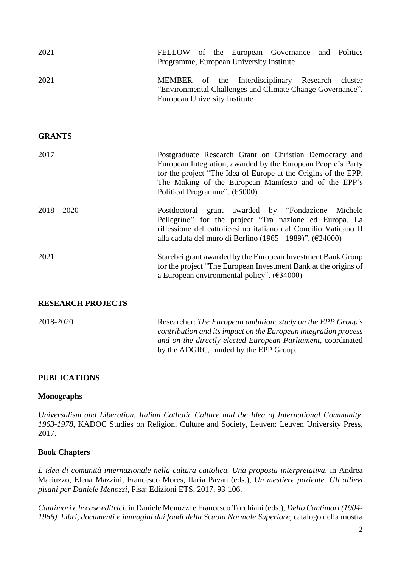| $2021 -$                 | FELLOW of the European Governance<br>and Politics<br>Programme, European University Institute                                                                                                                                                                                                           |
|--------------------------|---------------------------------------------------------------------------------------------------------------------------------------------------------------------------------------------------------------------------------------------------------------------------------------------------------|
| $2021 -$                 | MEMBER of the Interdisciplinary Research cluster<br>"Environmental Challenges and Climate Change Governance",<br><b>European University Institute</b>                                                                                                                                                   |
| <b>GRANTS</b>            |                                                                                                                                                                                                                                                                                                         |
| 2017                     | Postgraduate Research Grant on Christian Democracy and<br>European Integration, awarded by the European People's Party<br>for the project "The Idea of Europe at the Origins of the EPP.<br>The Making of the European Manifesto and of the EPP's<br>Political Programme". $(\text{\textsterling}5000)$ |
| $2018 - 2020$            | Postdoctoral grant awarded by "Fondazione"<br>Michele<br>Pellegrino" for the project "Tra nazione ed Europa. La<br>riflessione del cattolicesimo italiano dal Concilio Vaticano II<br>alla caduta del muro di Berlino (1965 - 1989)". ( $\epsilon$ 24000)                                               |
| 2021                     | Starebei grant awarded by the European Investment Bank Group<br>for the project "The European Investment Bank at the origins of<br>a European environmental policy". $(\text{\textsterling}34000)$                                                                                                      |
| <b>RESEARCH PROJECTS</b> |                                                                                                                                                                                                                                                                                                         |
| 2018-2020                | Researcher: The European ambition: study on the EPP Group's<br>contribution and its impact on the European integration process<br>and on the directly elected European Parliament, coordinated                                                                                                          |

#### **PUBLICATIONS**

#### **Monographs**

*Universalism and Liberation. Italian Catholic Culture and the Idea of International Community, 1963-1978*, KADOC Studies on Religion, Culture and Society, Leuven: Leuven University Press, 2017.

by the ADGRC, funded by the EPP Group.

#### **Book Chapters**

*L'idea di comunità internazionale nella cultura cattolica. Una proposta interpretativa*, in Andrea Mariuzzo, Elena Mazzini, Francesco Mores, Ilaria Pavan (eds.), *Un mestiere paziente. Gli allievi pisani per Daniele Menozzi*, Pisa: Edizioni ETS, 2017, 93-106.

*Cantimori e le case editrici*, in Daniele Menozzi e Francesco Torchiani (eds.), *Delio Cantimori (1904- 1966). Libri, documenti e immagini dai fondi della Scuola Normale Superiore*, catalogo della mostra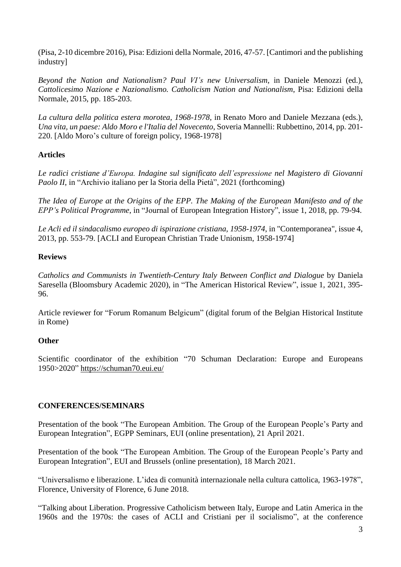(Pisa, 2-10 dicembre 2016), Pisa: Edizioni della Normale, 2016, 47-57. [Cantimori and the publishing industry]

*Beyond the Nation and Nationalism? Paul VI's new Universalism*, in Daniele Menozzi (ed.), *Cattolicesimo Nazione e Nazionalismo. Catholicism Nation and Nationalism*, Pisa: Edizioni della Normale, 2015, pp. 185-203.

*La cultura della politica estera morotea, 1968-1978*, in Renato Moro and Daniele Mezzana (eds.), *Una vita, un paese: Aldo Moro e l'Italia del Novecento*, Soveria Mannelli: Rubbettino, 2014, pp. 201- 220. [Aldo Moro's culture of foreign policy, 1968-1978]

# **Articles**

*Le radici cristiane d'Europa. Indagine sul significato dell'espressione nel Magistero di Giovanni Paolo II*, in "Archivio italiano per la Storia della Pietà", 2021 (forthcoming)

The Idea of Europe at the Origins of the EPP. The Making of the European Manifesto and of the *EPP's Political Programme*, in "Journal of European Integration History", issue 1, 2018, pp. 79-94.

*Le Acli ed il sindacalismo europeo di ispirazione cristiana, 1958-1974*, in "Contemporanea", issue 4, 2013, pp. 553-79. [ACLI and European Christian Trade Unionism, 1958-1974]

# **Reviews**

*Catholics and Communists in Twentieth-Century Italy Between Conflict and Dialogue* by Daniela Saresella (Bloomsbury Academic 2020), in "The American Historical Review", issue 1, 2021, 395- 96.

Article reviewer for "Forum Romanum Belgicum" (digital forum of the Belgian Historical Institute in Rome)

# **Other**

Scientific coordinator of the exhibition "70 Schuman Declaration: Europe and Europeans 1950>2020" <https://schuman70.eui.eu/>

# **CONFERENCES/SEMINARS**

Presentation of the book "The European Ambition. The Group of the European People's Party and European Integration", EGPP Seminars, EUI (online presentation), 21 April 2021.

Presentation of the book "The European Ambition. The Group of the European People's Party and European Integration", EUI and Brussels (online presentation), 18 March 2021.

"Universalismo e liberazione. L'idea di comunità internazionale nella cultura cattolica, 1963-1978", Florence, University of Florence, 6 June 2018.

"Talking about Liberation. Progressive Catholicism between Italy, Europe and Latin America in the 1960s and the 1970s: the cases of ACLI and Cristiani per il socialismo", at the conference